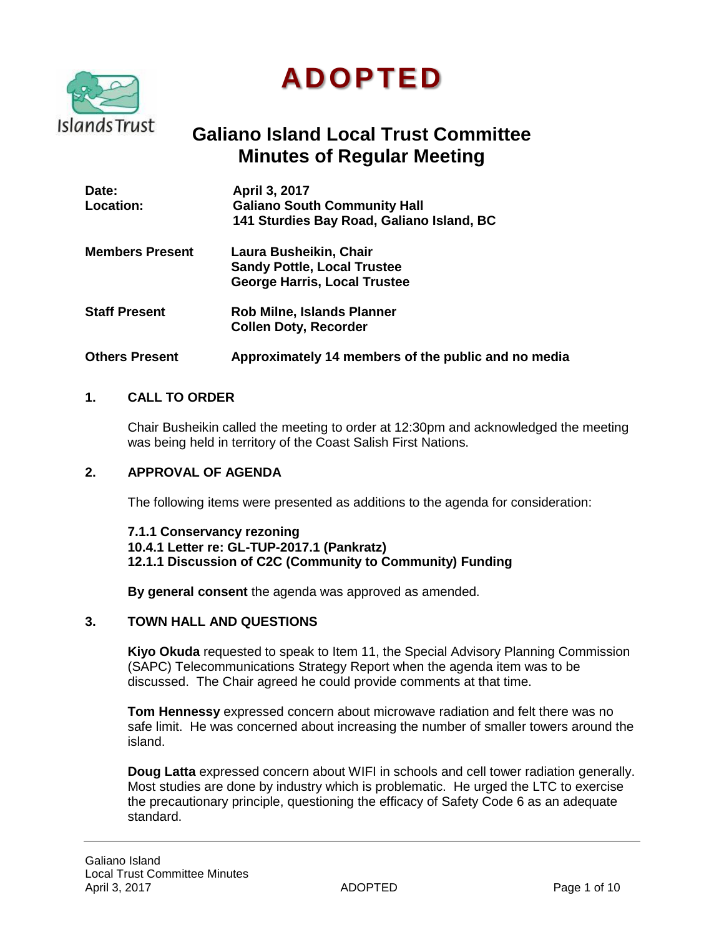

# **ADOPTED**

# **Galiano Island Local Trust Committee Minutes of Regular Meeting**

| Date:<br><b>Location:</b> | <b>April 3, 2017</b><br><b>Galiano South Community Hall</b><br>141 Sturdies Bay Road, Galiano Island, BC |
|---------------------------|----------------------------------------------------------------------------------------------------------|
| <b>Members Present</b>    | Laura Busheikin, Chair<br><b>Sandy Pottle, Local Trustee</b><br><b>George Harris, Local Trustee</b>      |
| <b>Staff Present</b>      | <b>Rob Milne, Islands Planner</b><br><b>Collen Doty, Recorder</b>                                        |
| <b>Others Present</b>     | Approximately 14 members of the public and no media                                                      |

# **1. CALL TO ORDER**

Chair Busheikin called the meeting to order at 12:30pm and acknowledged the meeting was being held in territory of the Coast Salish First Nations.

#### **2. APPROVAL OF AGENDA**

The following items were presented as additions to the agenda for consideration:

**7.1.1 Conservancy rezoning 10.4.1 Letter re: GL-TUP-2017.1 (Pankratz) 12.1.1 Discussion of C2C (Community to Community) Funding**

**By general consent** the agenda was approved as amended.

#### **3. TOWN HALL AND QUESTIONS**

**Kiyo Okuda** requested to speak to Item 11, the Special Advisory Planning Commission (SAPC) Telecommunications Strategy Report when the agenda item was to be discussed. The Chair agreed he could provide comments at that time.

**Tom Hennessy** expressed concern about microwave radiation and felt there was no safe limit. He was concerned about increasing the number of smaller towers around the island.

**Doug Latta** expressed concern about WIFI in schools and cell tower radiation generally. Most studies are done by industry which is problematic. He urged the LTC to exercise the precautionary principle, questioning the efficacy of Safety Code 6 as an adequate standard.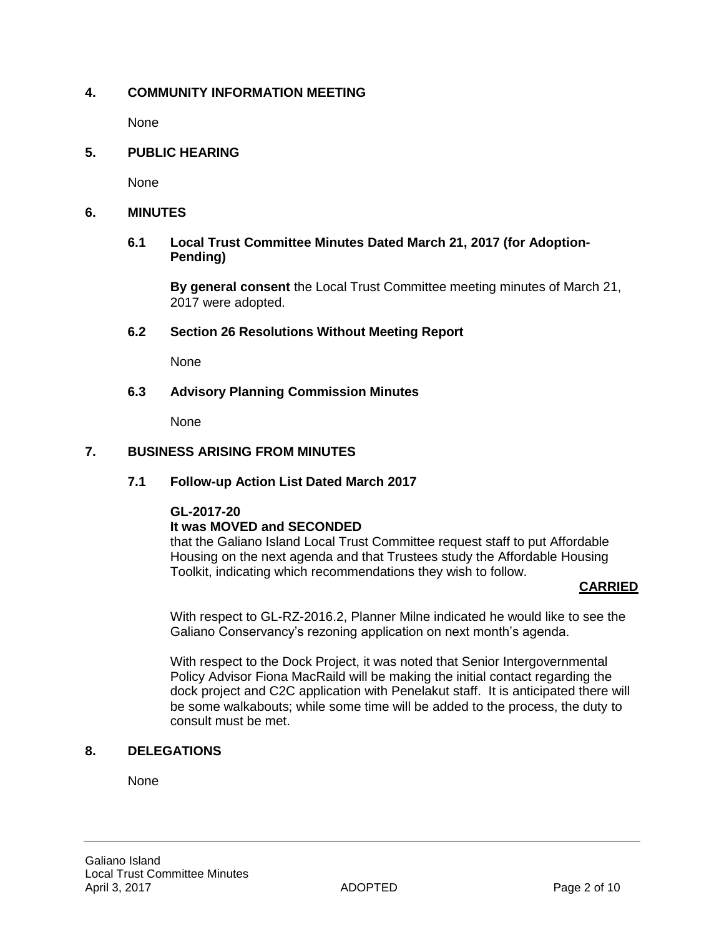# **4. COMMUNITY INFORMATION MEETING**

None

#### **5. PUBLIC HEARING**

None

#### **6. MINUTES**

#### **6.1 Local Trust Committee Minutes Dated March 21, 2017 (for Adoption-Pending)**

**By general consent** the Local Trust Committee meeting minutes of March 21, 2017 were adopted.

#### **6.2 Section 26 Resolutions Without Meeting Report**

None

#### **6.3 Advisory Planning Commission Minutes**

None

#### **7. BUSINESS ARISING FROM MINUTES**

#### **7.1 Follow-up Action List Dated March 2017**

#### **GL-2017-20**

#### **It was MOVED and SECONDED**

that the Galiano Island Local Trust Committee request staff to put Affordable Housing on the next agenda and that Trustees study the Affordable Housing Toolkit, indicating which recommendations they wish to follow.

#### **CARRIED**

With respect to GL-RZ-2016.2, Planner Milne indicated he would like to see the Galiano Conservancy's rezoning application on next month's agenda.

With respect to the Dock Project, it was noted that Senior Intergovernmental Policy Advisor Fiona MacRaild will be making the initial contact regarding the dock project and C2C application with Penelakut staff. It is anticipated there will be some walkabouts; while some time will be added to the process, the duty to consult must be met.

#### **8. DELEGATIONS**

None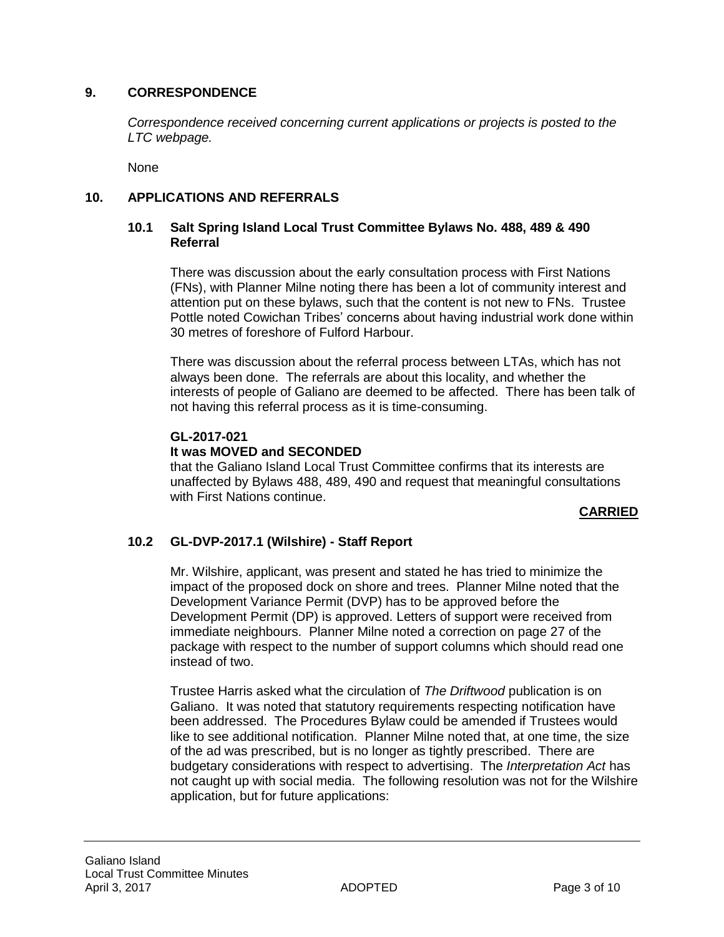# **9. CORRESPONDENCE**

*Correspondence received concerning current applications or projects is posted to the LTC webpage.*

None

## **10. APPLICATIONS AND REFERRALS**

#### **10.1 Salt Spring Island Local Trust Committee Bylaws No. 488, 489 & 490 Referral**

There was discussion about the early consultation process with First Nations (FNs), with Planner Milne noting there has been a lot of community interest and attention put on these bylaws, such that the content is not new to FNs. Trustee Pottle noted Cowichan Tribes' concerns about having industrial work done within 30 metres of foreshore of Fulford Harbour.

There was discussion about the referral process between LTAs, which has not always been done. The referrals are about this locality, and whether the interests of people of Galiano are deemed to be affected. There has been talk of not having this referral process as it is time-consuming.

#### **GL-2017-021**

#### **It was MOVED and SECONDED**

that the Galiano Island Local Trust Committee confirms that its interests are unaffected by Bylaws 488, 489, 490 and request that meaningful consultations with First Nations continue.

#### **CARRIED**

#### **10.2 GL-DVP-2017.1 (Wilshire) - Staff Report**

Mr. Wilshire, applicant, was present and stated he has tried to minimize the impact of the proposed dock on shore and trees. Planner Milne noted that the Development Variance Permit (DVP) has to be approved before the Development Permit (DP) is approved. Letters of support were received from immediate neighbours. Planner Milne noted a correction on page 27 of the package with respect to the number of support columns which should read one instead of two.

Trustee Harris asked what the circulation of *The Driftwood* publication is on Galiano. It was noted that statutory requirements respecting notification have been addressed. The Procedures Bylaw could be amended if Trustees would like to see additional notification. Planner Milne noted that, at one time, the size of the ad was prescribed, but is no longer as tightly prescribed. There are budgetary considerations with respect to advertising. The *Interpretation Act* has not caught up with social media. The following resolution was not for the Wilshire application, but for future applications: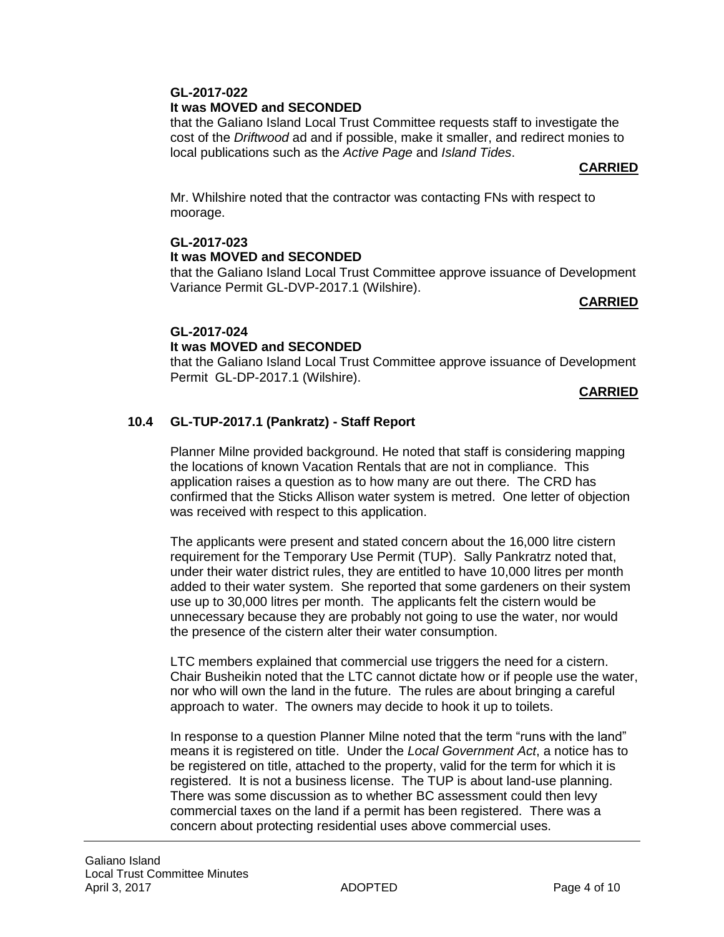# **GL-2017-022 It was MOVED and SECONDED**

that the GaIiano Island Local Trust Committee requests staff to investigate the cost of the *Driftwood* ad and if possible, make it smaller, and redirect monies to local publications such as the *Active Page* and *Island Tides*.

#### **CARRIED**

Mr. Whilshire noted that the contractor was contacting FNs with respect to moorage.

# **GL-2017-023 It was MOVED and SECONDED**

that the GaIiano Island Local Trust Committee approve issuance of Development Variance Permit GL-DVP-2017.1 (Wilshire).

#### **CARRIED**

# **GL-2017-024**

# **It was MOVED and SECONDED**

that the GaIiano Island Local Trust Committee approve issuance of Development Permit GL-DP-2017.1 (Wilshire).

#### **CARRIED**

# **10.4 GL-TUP-2017.1 (Pankratz) - Staff Report**

Planner Milne provided background. He noted that staff is considering mapping the locations of known Vacation Rentals that are not in compliance. This application raises a question as to how many are out there. The CRD has confirmed that the Sticks Allison water system is metred. One letter of objection was received with respect to this application.

The applicants were present and stated concern about the 16,000 litre cistern requirement for the Temporary Use Permit (TUP). Sally Pankratrz noted that, under their water district rules, they are entitled to have 10,000 litres per month added to their water system. She reported that some gardeners on their system use up to 30,000 litres per month. The applicants felt the cistern would be unnecessary because they are probably not going to use the water, nor would the presence of the cistern alter their water consumption.

LTC members explained that commercial use triggers the need for a cistern. Chair Busheikin noted that the LTC cannot dictate how or if people use the water, nor who will own the land in the future. The rules are about bringing a careful approach to water. The owners may decide to hook it up to toilets.

In response to a question Planner Milne noted that the term "runs with the land" means it is registered on title. Under the *Local Government Act*, a notice has to be registered on title, attached to the property, valid for the term for which it is registered. It is not a business license. The TUP is about land-use planning. There was some discussion as to whether BC assessment could then levy commercial taxes on the land if a permit has been registered. There was a concern about protecting residential uses above commercial uses.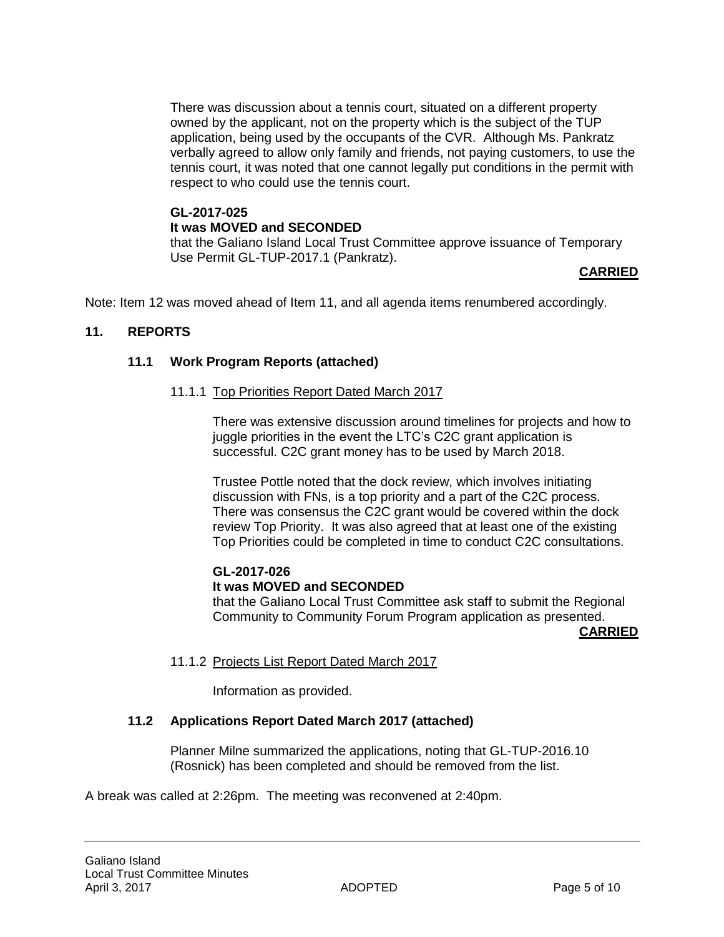There was discussion about a tennis court, situated on a different property owned by the applicant, not on the property which is the subject of the TUP application, being used by the occupants of the CVR. Although Ms. Pankratz verbally agreed to allow only family and friends, not paying customers, to use the tennis court, it was noted that one cannot legally put conditions in the permit with respect to who could use the tennis court.

# **GL-2017-025 It was MOVED and SECONDED**

that the GaIiano Island Local Trust Committee approve issuance of Temporary Use Permit GL-TUP-2017.1 (Pankratz).

# **CARRIED**

Note: Item 12 was moved ahead of Item 11, and all agenda items renumbered accordingly.

# **11. REPORTS**

# **11.1 Work Program Reports (attached)**

#### 11.1.1 Top Priorities Report Dated March 2017

There was extensive discussion around timelines for projects and how to juggle priorities in the event the LTC's C2C grant application is successful. C2C grant money has to be used by March 2018.

Trustee Pottle noted that the dock review, which involves initiating discussion with FNs, is a top priority and a part of the C2C process. There was consensus the C2C grant would be covered within the dock review Top Priority. It was also agreed that at least one of the existing Top Priorities could be completed in time to conduct C2C consultations.

# **GL-2017-026**

#### **It was MOVED and SECONDED**

that the GaIiano Local Trust Committee ask staff to submit the Regional Community to Community Forum Program application as presented.

**CARRIED**

# 11.1.2 Projects List Report Dated March 2017

Information as provided.

# **11.2 Applications Report Dated March 2017 (attached)**

Planner Milne summarized the applications, noting that GL-TUP-2016.10 (Rosnick) has been completed and should be removed from the list.

A break was called at 2:26pm. The meeting was reconvened at 2:40pm.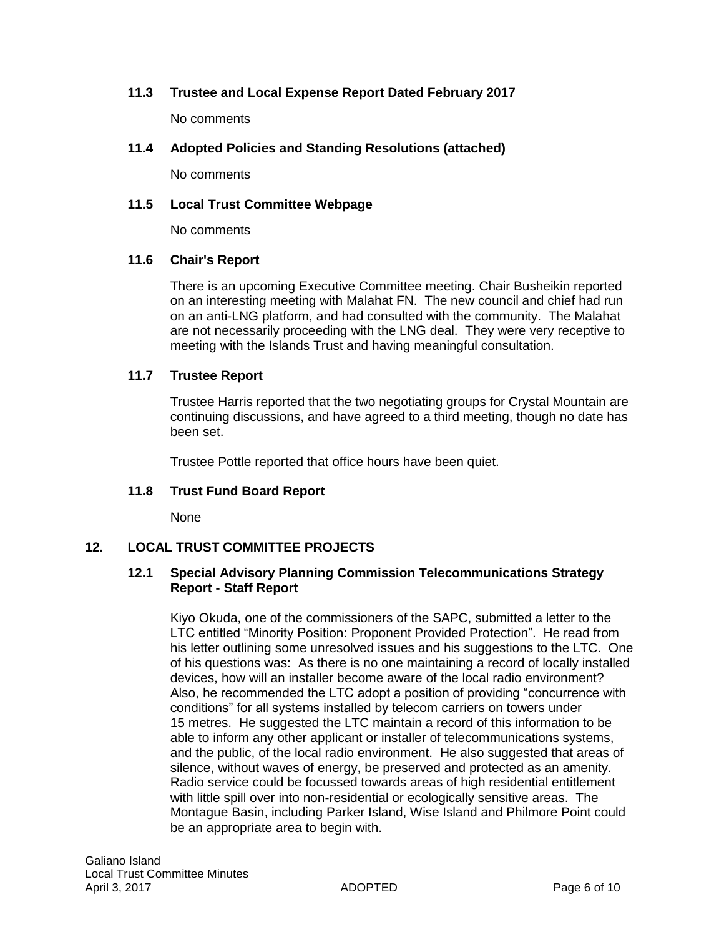# **11.3 Trustee and Local Expense Report Dated February 2017**

No comments

## **11.4 Adopted Policies and Standing Resolutions (attached)**

No comments

## **11.5 Local Trust Committee Webpage**

No comments

#### **11.6 Chair's Report**

There is an upcoming Executive Committee meeting. Chair Busheikin reported on an interesting meeting with Malahat FN. The new council and chief had run on an anti-LNG platform, and had consulted with the community. The Malahat are not necessarily proceeding with the LNG deal. They were very receptive to meeting with the Islands Trust and having meaningful consultation.

#### **11.7 Trustee Report**

Trustee Harris reported that the two negotiating groups for Crystal Mountain are continuing discussions, and have agreed to a third meeting, though no date has been set.

Trustee Pottle reported that office hours have been quiet.

#### **11.8 Trust Fund Board Report**

None

#### **12. LOCAL TRUST COMMITTEE PROJECTS**

#### **12.1 Special Advisory Planning Commission Telecommunications Strategy Report - Staff Report**

Kiyo Okuda, one of the commissioners of the SAPC, submitted a letter to the LTC entitled "Minority Position: Proponent Provided Protection". He read from his letter outlining some unresolved issues and his suggestions to the LTC. One of his questions was: As there is no one maintaining a record of locally installed devices, how will an installer become aware of the local radio environment? Also, he recommended the LTC adopt a position of providing "concurrence with conditions" for all systems installed by telecom carriers on towers under 15 metres. He suggested the LTC maintain a record of this information to be able to inform any other applicant or installer of telecommunications systems, and the public, of the local radio environment. He also suggested that areas of silence, without waves of energy, be preserved and protected as an amenity. Radio service could be focussed towards areas of high residential entitlement with little spill over into non-residential or ecologically sensitive areas. The Montague Basin, including Parker Island, Wise Island and Philmore Point could be an appropriate area to begin with.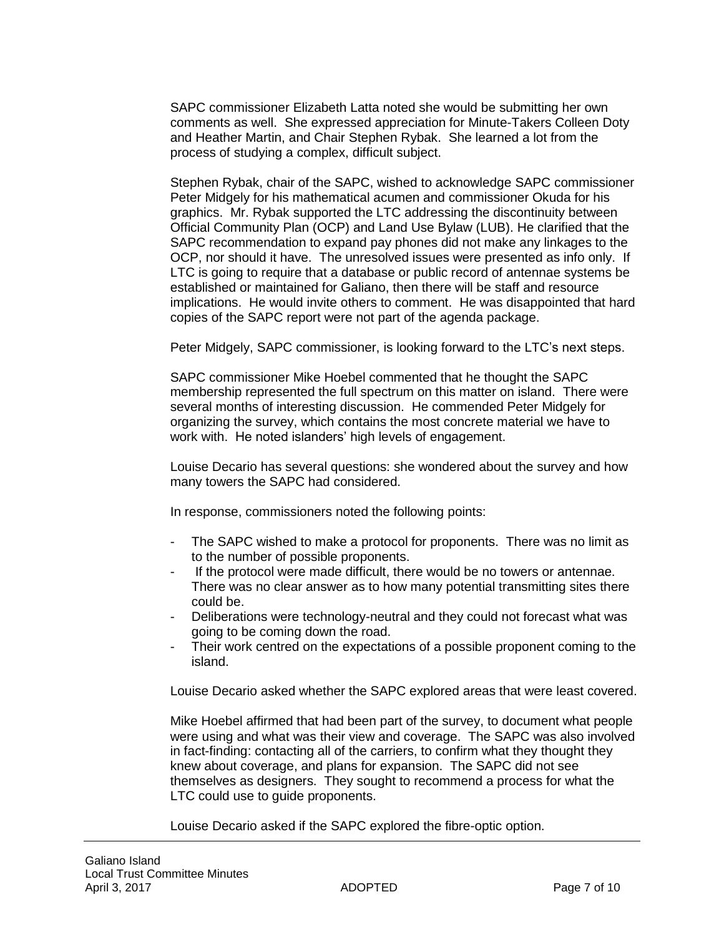SAPC commissioner Elizabeth Latta noted she would be submitting her own comments as well. She expressed appreciation for Minute-Takers Colleen Doty and Heather Martin, and Chair Stephen Rybak. She learned a lot from the process of studying a complex, difficult subject.

Stephen Rybak, chair of the SAPC, wished to acknowledge SAPC commissioner Peter Midgely for his mathematical acumen and commissioner Okuda for his graphics. Mr. Rybak supported the LTC addressing the discontinuity between Official Community Plan (OCP) and Land Use Bylaw (LUB). He clarified that the SAPC recommendation to expand pay phones did not make any linkages to the OCP, nor should it have. The unresolved issues were presented as info only. If LTC is going to require that a database or public record of antennae systems be established or maintained for Galiano, then there will be staff and resource implications. He would invite others to comment. He was disappointed that hard copies of the SAPC report were not part of the agenda package.

Peter Midgely, SAPC commissioner, is looking forward to the LTC's next steps.

SAPC commissioner Mike Hoebel commented that he thought the SAPC membership represented the full spectrum on this matter on island. There were several months of interesting discussion. He commended Peter Midgely for organizing the survey, which contains the most concrete material we have to work with. He noted islanders' high levels of engagement.

Louise Decario has several questions: she wondered about the survey and how many towers the SAPC had considered.

In response, commissioners noted the following points:

- The SAPC wished to make a protocol for proponents. There was no limit as to the number of possible proponents.
- If the protocol were made difficult, there would be no towers or antennae. There was no clear answer as to how many potential transmitting sites there could be.
- Deliberations were technology-neutral and they could not forecast what was going to be coming down the road.
- Their work centred on the expectations of a possible proponent coming to the island.

Louise Decario asked whether the SAPC explored areas that were least covered.

Mike Hoebel affirmed that had been part of the survey, to document what people were using and what was their view and coverage. The SAPC was also involved in fact-finding: contacting all of the carriers, to confirm what they thought they knew about coverage, and plans for expansion. The SAPC did not see themselves as designers. They sought to recommend a process for what the LTC could use to guide proponents.

Louise Decario asked if the SAPC explored the fibre-optic option.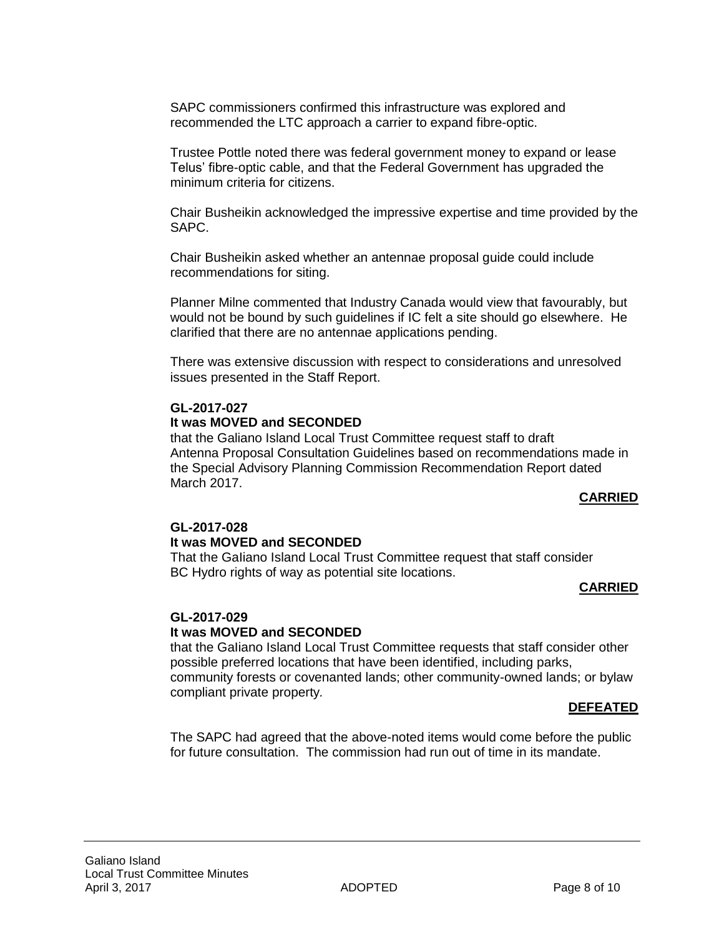SAPC commissioners confirmed this infrastructure was explored and recommended the LTC approach a carrier to expand fibre-optic.

Trustee Pottle noted there was federal government money to expand or lease Telus' fibre-optic cable, and that the Federal Government has upgraded the minimum criteria for citizens.

Chair Busheikin acknowledged the impressive expertise and time provided by the SAPC.

Chair Busheikin asked whether an antennae proposal guide could include recommendations for siting.

Planner Milne commented that Industry Canada would view that favourably, but would not be bound by such guidelines if IC felt a site should go elsewhere. He clarified that there are no antennae applications pending.

There was extensive discussion with respect to considerations and unresolved issues presented in the Staff Report.

#### **GL-2017-027**

#### **It was MOVED and SECONDED**

that the Galiano Island Local Trust Committee request staff to draft Antenna Proposal Consultation Guidelines based on recommendations made in the Special Advisory Planning Commission Recommendation Report dated March 2017.

#### **CARRIED**

# **GL-2017-028**

#### **It was MOVED and SECONDED**

That the GaIiano Island Local Trust Committee request that staff consider BC Hydro rights of way as potential site locations.

#### **CARRIED**

#### **GL-2017-029**

#### **It was MOVED and SECONDED**

that the GaIiano Island Local Trust Committee requests that staff consider other possible preferred locations that have been identified, including parks, community forests or covenanted lands; other community-owned lands; or bylaw compliant private property*.* 

#### **DEFEATED**

The SAPC had agreed that the above-noted items would come before the public for future consultation. The commission had run out of time in its mandate.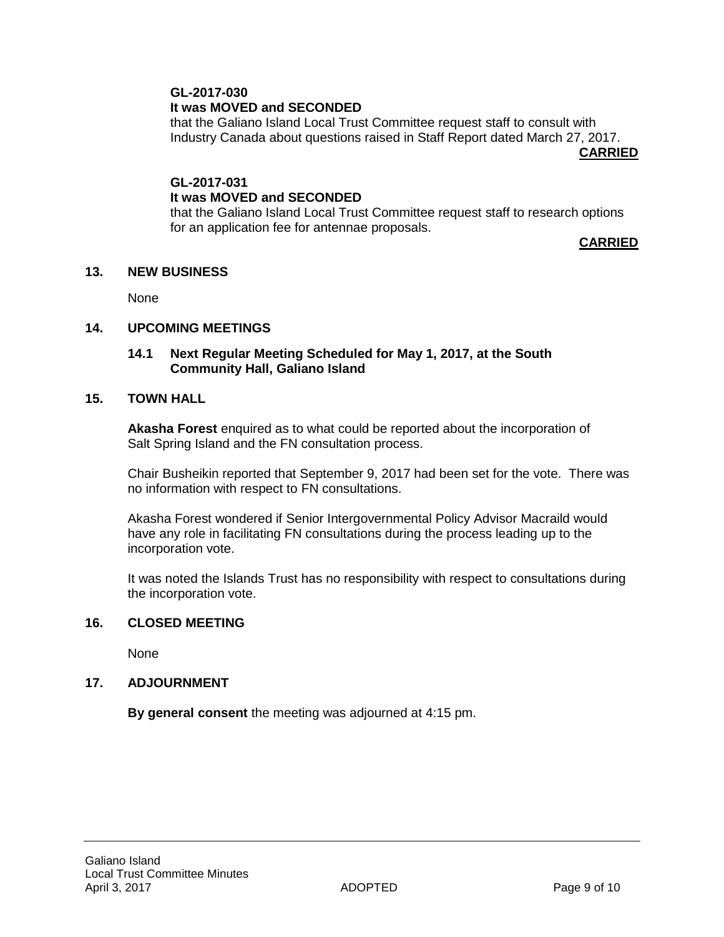#### **GL-2017-030 It was MOVED and SECONDED**

that the Galiano Island Local Trust Committee request staff to consult with Industry Canada about questions raised in Staff Report dated March 27, 2017.

**CARRIED**

# **GL-2017-031 It was MOVED and SECONDED**

that the Galiano Island Local Trust Committee request staff to research options for an application fee for antennae proposals.

**CARRIED**

#### **13. NEW BUSINESS**

None

# **14. UPCOMING MEETINGS**

#### **14.1 Next Regular Meeting Scheduled for May 1, 2017, at the South Community Hall, Galiano Island**

#### **15. TOWN HALL**

**Akasha Forest** enquired as to what could be reported about the incorporation of Salt Spring Island and the FN consultation process.

Chair Busheikin reported that September 9, 2017 had been set for the vote. There was no information with respect to FN consultations.

Akasha Forest wondered if Senior Intergovernmental Policy Advisor Macraild would have any role in facilitating FN consultations during the process leading up to the incorporation vote.

It was noted the Islands Trust has no responsibility with respect to consultations during the incorporation vote.

#### **16. CLOSED MEETING**

None

#### **17. ADJOURNMENT**

**By general consent** the meeting was adjourned at 4:15 pm.